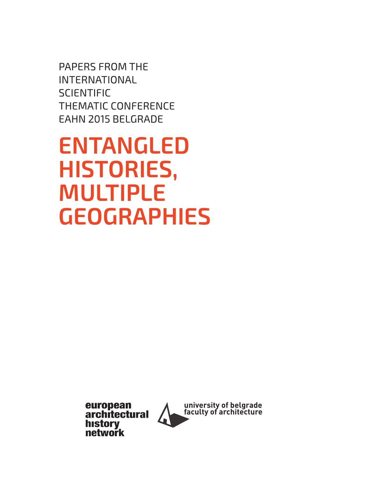PAPERS FROM THE INTERNATIONAL **SCIENTIFIC** THEMATIC CONFERENCE EAHN 2015 BELGRADE

**ENTANGLED HISTORIES, MULTIPLE GEOGRAPHIES**

> european<br>architectural **history** network

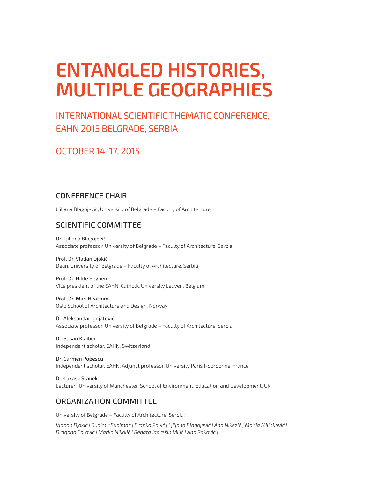# **ENTANGLED HISTORIES, MULTIPLE GEOGRAPHIES**

## INTERNATIONAL SCIENTIFIC THEMATIC CONFERENCE, EAHN 2015 BELGRADE, SERBIA

## OCTOBER 14-17, 2015

### CONFERENCE CHAIR

Ljiljana Blagojević, University of Belgrade – Faculty of Architecture

## SCIENTIFIC COMMITTEE

Dr. Ljiljana Blagojević Associate professor, University of Belgrade – Faculty of Architecture, Serbia

Prof. Dr. Vladan Djokić Dean, University of Belgrade – Faculty of Architecture, Serbia

Prof. Dr. Hilde Heynen Vice president of the EAHN, Catholic University Leuven, Belgium

Prof. Dr. Mari Hvattum Oslo School of Architecture and Design, Norway

Dr. Aleksandar Ignjatović Associate professor, University of Belgrade – Faculty of Architecture, Serbia

Dr. Susan Klaiber Independent scholar, EAHN, Switzerland

Dr. Carmen Popescu Independent scholar, EAHN, Adjunct professor, University Paris I-Sorbonne, France

Dr. Łukasz Stanek Lecturer, University of Manchester, School of Environment, Education and Development, UK

## ORGANIZATION COMMITTEE

University of Belgrade – Faculty of Architecture, Serbia:

*Vladan Djokić | Budimir Sudimac | Branko Pavić | Ljiljana Blagojević | Ana Nikezić | Marija Milinković | Dragana Ćorović | Marko Nikolić | Renata Jadrešin Milić | Ana Raković |*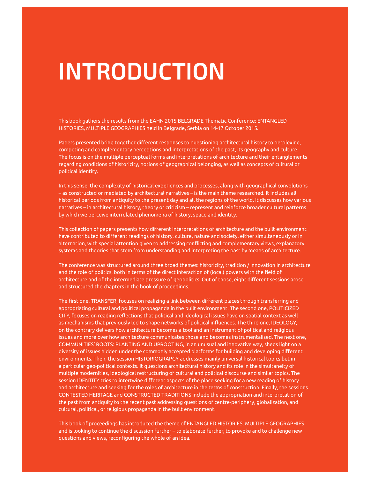# **INTRODUCTION**

This book gathers the results from the EAHN 2015 BELGRADE Thematic Conference: ENTANGLED HISTORIES, MULTIPLE GEOGRAPHIES held in Belgrade, Serbia on 14-17 October 2015.

Papers presented bring together different responses to questioning architectural history to perplexing, competing and complementary perceptions and interpretations of the past, its geography and culture. The focus is on the multiple perceptual forms and interpretations of architecture and their entanglements regarding conditions of historicity, notions of geographical belonging, as well as concepts of cultural or political identity.

In this sense, the complexity of historical experiences and processes, along with geographical convolutions – as constructed or mediated by architectural narratives – is the main theme researched. It includes all historical periods from antiquity to the present day and all the regions of the world. It discusses how various narratives – in architectural history, theory or criticism – represent and reinforce broader cultural patterns by which we perceive interrelated phenomena of history, space and identity.

This collection of papers presents how diferent interpretations of architecture and the built environment have contributed to diferent readings of history, culture, nature and society, either simultaneously or in alternation, with special attention given to addressing conficting and complementary views, explanatory systems and theories that stem from understanding and interpreting the past by means of architecture.

The conference was structured around three broad themes: historicity, tradition / innovation in architecture and the role of politics, both in terms of the direct interaction of (local) powers with the feld of architecture and of the intermediate pressure of geopolitics. Out of those, eight diferent sessions arose and structured the chapters in the book of proceedings.

The frst one, TRANSFER, focuses on realizing a link between diferent places through transferring and appropriating cultural and political propaganda in the built environment. The second one, POLITICIZED CITY, focuses on reading refections that political and ideological issues have on spatial context as well as mechanisms that previously led to shape networks of political infuences. The third one, IDEOLOGY, on the contrary delivers how architecture becomes a tool and an instrument of political and religious issues and more over how architecture communicates those and becomes instrumentalised. The next one, COMMUNITIES' ROOTS: PLANTING AND UPROOTING, in an unusual and innovative way, sheds light on a diversity of issues hidden under the commonly accepted platforms for building and developing diferent environments. Then, the session HISTORIOGRAPGY addresses mainly universal historical topics but in a particular geo-political contexts. It questions architectural history and its role in the simultaneity of multiple modernities, ideological restructuring of cultural and political discourse and similar topics. The session IDENTITY tries to intertwine diferent aspects of the place seeking for a new reading of history and architecture and seeking for the roles of architecture in the terms of construction. Finally, the sessions CONTESTED HERITAGE and CONSTRUCTED TRADITIONS include the appropriation and interpretation of the past from antiquity to the recent past addressing questions of centre-periphery, globalization, and cultural, political, or religious propaganda in the built environment.

This book of proceedings has introduced the theme of ENTANGLED HISTORIES, MULTIPLE GEOGRAPHIES and is looking to continue the discussion further – to elaborate further, to provoke and to challenge new questions and views, reconfiguring the whole of an idea.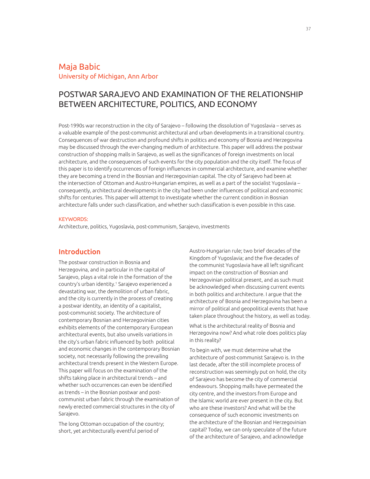### Maja Babic University of Michigan, Ann Arbor

## POSTWAR SARAJEVO AND EXAMINATION OF THE RELATIONSHIP BETWEEN ARCHITECTURE, POLITICS, AND ECONOMY

Post-1990s war reconstruction in the city of Sarajevo – following the dissolution of Yugoslavia – serves as a valuable example of the post-communist architectural and urban developments in a transitional country. Consequences of war destruction and profound shifts in politics and economy of Bosnia and Herzegovina may be discussed through the ever-changing medium of architecture. This paper will address the postwar construction of shopping malls in Sarajevo, as well as the signifcances of foreign investments on local architecture, and the consequences of such events for the city population and the city itself. The focus of this paper is to identify occurrences of foreign infuences in commercial architecture, and examine whether they are becoming a trend in the Bosnian and Herzegovinian capital. The city of Sarajevo had been at the intersection of Ottoman and Austro-Hungarian empires, as well as a part of the socialist Yugoslavia – consequently, architectural developments in the city had been under infuences of political and economic shifts for centuries. This paper will attempt to investigate whether the current condition in Bosnian architecture falls under such classifcation, and whether such classifcation is even possible in this case.

#### KEYWORDS:

Architecture, politics, Yugoslavia, post-communism, Sarajevo, investments

#### Introduction

The postwar construction in Bosnia and Herzegovina, and in particular in the capital of Sarajevo, plays a vital role in the formation of the country's urban identity.<sup>1</sup> Sarajevo experienced a devastating war, the demolition of urban fabric, and the city is currently in the process of creating a postwar identity, an identity of a capitalist, post-communist society. The architecture of contemporary Bosnian and Herzegovinian cities exhibits elements of the contemporary European architectural events, but also unveils variations in the city's urban fabric infuenced by both political and economic changes in the contemporary Bosnian society, not necessarily following the prevailing architectural trends present in the Western Europe. This paper will focus on the examination of the shifts taking place in architectural trends – and whether such occurrences can even be identifed as trends – in the Bosnian postwar and postcommunist urban fabric through the examination of newly erected commercial structures in the city of Sarajevo.

The long Ottoman occupation of the country; short, yet architecturally eventful period of

Austro-Hungarian rule; two brief decades of the Kingdom of Yugoslavia; and the five decades of the communist Yugoslavia have all left significant impact on the construction of Bosnian and Herzegovinian political present, and as such must be acknowledged when discussing current events in both politics and architecture. I argue that the architecture of Bosnia and Herzegovina has been a mirror of political and geopolitical events that have taken place throughout the history, as well as today.

What is the architectural reality of Bosnia and Herzegovina now? And what role does politics play in this reality?

To begin with, we must determine what the architecture of post-communist Sarajevo is. In the last decade, after the still incomplete process of reconstruction was seemingly put on hold, the city of Sarajevo has become the city of commercial endeavours. Shopping malls have permeated the city centre, and the investors from Europe and the Islamic world are ever present in the city. But who are these investors? And what will be the consequence of such economic investments on the architecture of the Bosnian and Herzegovinian capital? Today, we can only speculate of the future of the architecture of Sarajevo, and acknowledge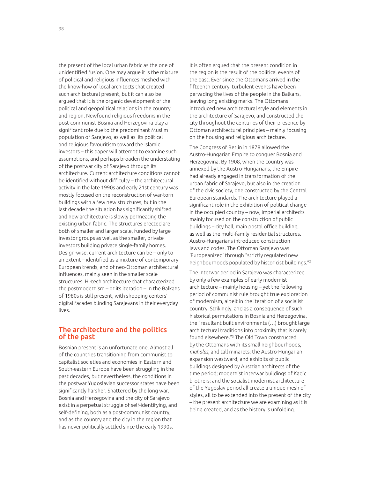the present of the local urban fabric as the one of unidentifed fusion. One may argue it is the mixture of political and religious infuences meshed with the know-how of local architects that created such architectural present, but it can also be argued that it is the organic development of the political and geopolitical relations in the country and region. Newfound religious freedoms in the post-communist Bosnia and Herzegovina play a signifcant role due to the predominant Muslim population of Sarajevo, as well as its political and religious favouritism toward the Islamic investors – this paper will attempt to examine such assumptions, and perhaps broaden the understating of the postwar city of Sarajevo through its architecture. Current architecture conditions cannot be identified without difficulty – the architectural activity in the late 1990s and early 21st century was mostly focused on the reconstruction of war-torn buildings with a few new structures, but in the last decade the situation has significantly shifted and new architecture is slowly permeating the existing urban fabric. The structures erected are both of smaller and larger scale, funded by large investor groups as well as the smaller, private investors building private single-family homes. Design-wise, current architecture can be – only to an extent – identified as a mixture of contemporary European trends, and of neo-Ottoman architectural infuences, mainly seen in the smaller scale structures. Hi-tech architecture that characterized the postmodernism – or its iteration – in the Balkans of 1980s is still present, with shopping centers' digital facades blinding Sarajevans in their everyday lives.

#### The architecture and the politics of the past

Bosnian present is an unfortunate one. Almost all of the countries transitioning from communist to capitalist societies and economies in Eastern and South-eastern Europe have been struggling in the past decades, but nevertheless, the conditions in the postwar Yugoslavian successor states have been signifcantly harsher. Shattered by the long war, Bosnia and Herzegovina and the city of Sarajevo exist in a perpetual struggle of self-identifying, and self-defining, both as a post-communist country, and as the country and the city in the region that has never politically settled since the early 1990s.

It is often argued that the present condition in the region is the result of the political events of the past. Ever since the Ottomans arrived in the ffteenth century, turbulent events have been pervading the lives of the people in the Balkans, leaving long existing marks. The Ottomans introduced new architectural style and elements in the architecture of Sarajevo, and constructed the city throughout the centuries of their presence by Ottoman architectural principles – mainly focusing on the housing and religious architecture.

The Congress of Berlin in 1878 allowed the Austro-Hungarian Empire to conquer Bosnia and Herzegovina. By 1908, when the country was annexed by the Austro-Hungarians, the Empire had already engaged in transformation of the urban fabric of Sarajevo, but also in the creation of the civic society, one constructed by the Central European standards. The architecture played a signifcant role in the exhibition of political change in the occupied country – now, imperial architects mainly focused on the construction of public buildings – city hall, main postal office building, as well as the multi-family residential structures. Austro-Hungarians introduced construction laws and codes. The Ottoman Sarajevo was 'Europeanized' through "strictly regulated new neighbourhoods populated by historicist buildings."<sup>2</sup>

The interwar period in Sarajevo was characterized by only a few examples of early modernist architecture – mainly housing – yet the following period of communist rule brought true exploration of modernism, albeit in the iteration of a socialist country. Strikingly, and as a consequence of such historical permutations in Bosnia and Herzegovina, the "resultant built environments (…) brought large architectural traditions into proximity that is rarely found elsewhere."<sup>3</sup> The Old Town constructed by the Ottomans with its small neighbourhoods, *mahalas,* and tall minarets; the Austro-Hungarian expansion westward, and exhibits of public buildings designed by Austrian architects of the time period; modernist interwar buildings of Kadic brothers; and the socialist modernist architecture of the Yugoslav period all create a unique mesh of styles, all to be extended into the present of the city – the present architecture we are examining as it is being created, and as the history is unfolding.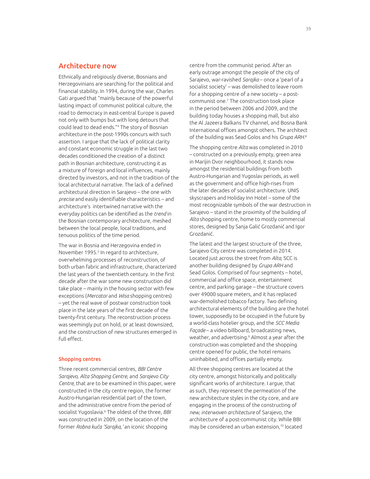#### Architecture now

Ethnically and religiously diverse, Bosnians and Herzegovinians are searching for the political and fnancial stability. In 1994, during the war, Charles Gati argued that "mainly because of the powerful lasting impact of communist political culture, the road to democracy in east-central Europe is paved not only with bumps but with long detours that could lead to dead ends."<sup>4</sup> The story of Bosnian architecture in the post-1990s concurs with such assertion. I argue that the lack of political clarity and constant economic struggle in the last two decades conditioned the creation of a distinct path in Bosnian architecture, constructing it as a mixture of foreign and local infuences, mainly directed by investors, and not in the tradition of the local architectural narrative. The lack of a defined architectural direction in Sarajevo – the one with *precise* and easily identifable characteristics – and architecture's intertwined narrative with the everyday politics can be identifed as the *trend* in the Bosnian contemporary architecture, meshed between the local people, local traditions, and tenuous politics of the time period.

The war in Bosnia and Herzegovina ended in November 1995.<sup>5</sup> In regard to architecture, overwhelming processes of reconstruction, of both urban fabric and infrastructure, characterized the last years of the twentieth century. In the frst decade after the war some new construction did take place – mainly in the housing sector with few exceptions (*Mercator* and *Wisa* shopping centres) – yet the real wave of postwar construction took place in the late years of the first decade of the twenty-frst century. The reconstruction process was seemingly put on hold, or at least downsized, and the construction of new structures emerged in full effect.

#### Shopping centres

Three recent commercial centres, *BBI Centre Sarajevo, Alta Shopping Centre,* and *Sarajevo City Centre,* that are to be examined in this paper, were constructed in the city centre region, the former Austro-Hungarian residential part of the town, and the administrative centre from the period of socialist Yugoslavia.<sup>6</sup> The oldest of the three, *BBI* was constructed in 2009, on the location of the former *Robna kuća 'Sarajka,'* an iconic shopping

centre from the communist period. After an early outrage amongst the people of the city of Sarajevo, war-ravished *Sarajka* – once a 'pearl of a socialist society' – was demolished to leave room for a shopping centre of a new society – a postcommunist one.<sup>7</sup> The construction took place in the period between 2006 and 2009, and the building today houses a shopping mall, but also the Al Jazeera Balkans TV channel, and Bosna Bank International offices amongst others. The architect of the building was Sead Golos and his *Grupa ARH.*<sup>8</sup>

The shopping centre *Alta* was completed in 2010 – constructed on a previously empty, green area in Marijin Dvor neighbourhood, it stands now amongst the residential buildings from both Austro-Hungarian and Yugoslav periods, as well as the government and office high-rises from the later decades of socialist architecture. UNIS skyscrapers and Holiday Inn Hotel – some of the most recognizable symbols of the war destruction in Sarajevo – stand in the proximity of the building of *Alta* shopping centre, home to mostly commercial stores, designed by Sanja Galić Grozdanić and Igor Grozdanić.

The latest and the largest structure of the three, Sarajevo City centre was completed in 2014. Located just across the street from *Alta,* SCC is another building designed by *Grupa ARH* and Sead Golos. Comprised of four segments – hotel, commercial and office space, entertainment centre, and parking garage – the structure covers over 49000 square meters, and it has replaced war-demolished tobacco factory. Two defining architectural elements of the building are the hotel tower, supposedly to be occupied in the future by a world-class hotelier group, and the *SCC Media Façade* – a video billboard, broadcasting news, weather, and advertising.<sup>9</sup> Almost a year after the construction was completed and the shopping centre opened for public, the hotel remains uninhabited, and offices partially empty.

All three shopping centres are located at the city centre, amongst historically and politically signifcant works of architecture. I argue, that as such, they represent the permeation of the new architecture styles in the city core, and are engaging in the process of the constructing of *new, interwoven architecture* of Sarajevo, the architecture of a post-communist city. While BBI may be considered an urban extension,10 located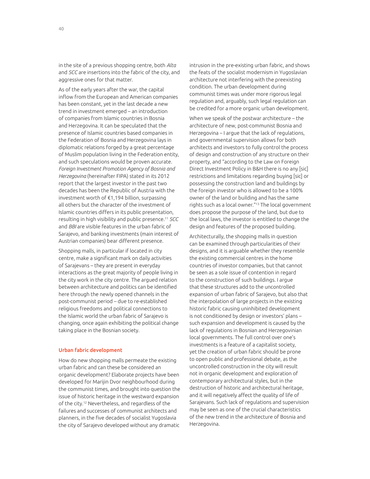in the site of a previous shopping centre, both *Alta* and *SCC* are insertions into the fabric of the city, and aggressive ones for that matter.

As of the early years after the war, the capital inflow from the European and American companies has been constant, yet in the last decade a new trend in investment emerged – an introduction of companies from Islamic countries in Bosnia and Herzegovina. It can be speculated that the presence of Islamic countries based companies in the Federation of Bosnia and Herzegovina lays in diplomatic relations forged by a great percentage of Muslim population living in the Federation entity, and such speculations would be proven accurate. *Foreign Investment Promotion Agency of Bosnia and Herzegovina* (hereinafter FIPA) stated in its 2012 report that the largest investor in the past two decades has been the Republic of Austria with the investment worth of €1,194 billion, surpassing all others but the character of the investment of Islamic countries difers in its public presentation, resulting in high visibility and public presence.<sup>11</sup> *SCC* and *BBI* are visible features in the urban fabric of Sarajevo, and banking investments (main interest of Austrian companies) bear diferent presence.

Shopping malls, in particular if located in city centre, make a significant mark on daily activities of Sarajevans – they are present in everyday interactions as the great majority of people living in the city work in the city centre. The argued relation between architecture and politics can be identifed here through the newly opened channels in the post-communist period – due to re-established religious freedoms and political connections to the Islamic world the urban fabric of Sarajevo is changing, once again exhibiting the political change taking place in the Bosnian society.

#### Urban fabric development

How do new shopping malls permeate the existing urban fabric and can these be considered an organic development? Elaborate projects have been developed for Marijin Dvor neighbourhood during the communist times, and brought into question the issue of historic heritage in the westward expansion of the city.12 Nevertheless, and regardless of the failures and successes of communist architects and planners, in the fve decades of socialist Yugoslavia the city of Sarajevo developed without any dramatic

intrusion in the pre-existing urban fabric, and shows the feats of the socialist modernism in Yugoslavian architecture not interfering with the preexisting condition. The urban development during communist times was under more rigorous legal regulation and, arguably, such legal regulation can be credited for a more organic urban development.

When we speak of the postwar architecture – the architecture of new, post-communist Bosnia and Herzegovina – I argue that the lack of regulations, and governmental supervision allows for both architects and investors to fully control the process of design and construction of any structure on their property, and "according to the Law on Foreign Direct Investment Policy in B&H there is no any [sic] restrictions and limitations regarding buying [sic] or possessing the construction land and buildings by the foreign investor who is allowed to be a 100% owner of the land or building and has the same rights such as a local owner."13 The local government does propose the purpose of the land, but due to the local laws, the investor is entitled to change the design and features of the proposed building.

Architecturally, the shopping malls in question can be examined through particularities of their designs, and it is arguable whether they resemble the existing commercial centres in the home countries of investor companies, but that cannot be seen as a sole issue of contention in regard to the construction of such buildings. I argue that these structures add to the uncontrolled expansion of urban fabric of Sarajevo, but also that the interpolation of large projects in the existing historic fabric causing uninhibited development is not conditioned by design or investors' plans – such expansion and development is caused by the lack of regulations in Bosnian and Herzegovinian local governments. The full control over one's investments is a feature of a capitalist society, yet the creation of urban fabric should be prone to open public and professional debate, as the uncontrolled construction in the city will result not in organic development and exploration of contemporary architectural styles, but in the destruction of historic and architectural heritage, and it will negatively affect the quality of life of Sarajevans. Such lack of regulations and supervision may be seen as one of the crucial characteristics of the new trend in the architecture of Bosnia and Herzegovina.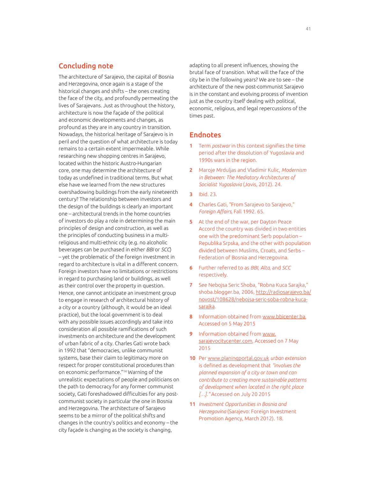#### Concluding note

The architecture of Sarajevo, the capital of Bosnia and Herzegovina, once again is a stage of the historical changes and shifts – the ones creating the face of the city, and profoundly permeating the lives of Sarajevans. Just as throughout the history, architecture is now the façade of the political and economic developments and changes, as profound as they are in any country in transition. Nowadays, the historical heritage of Sarajevo is in peril and the question of what architecture is today remains to a certain extent impermeable. While researching new shopping centres in Sarajevo, located within the historic Austro-Hungarian core, one may determine the architecture of today as undefned in traditional terms. But what else have we learned from the new structures overshadowing buildings from the early nineteenth century? The relationship between investors and the design of the buildings is clearly an important one – architectural trends in the home countries of investors do play a role in determining the main principles of design and construction, as well as the principles of conducting business in a multireligious and multi-ethnic city (e.g. no alcoholic beverages can be purchased in either *BBI* or *SCC*) – yet the problematic of the foreign investment in regard to architecture is vital in a diferent concern. Foreign investors have no limitations or restrictions in regard to purchasing land or buildings, as well as their control over the property in question. Hence, one cannot anticipate an investment group to engage in research of architectural history of a city or a country (although, it would be an ideal practice), but the local government is to deal with any possible issues accordingly and take into consideration all possible ramifications of such investments on architecture and the development of urban fabric of a city. Charles Gati wrote back in 1992 that "democracies, unlike communist systems, base their claim to legitimacy more on respect for proper constitutional procedures than on economic performance."14 Warning of the unrealistic expectations of people and politicians on the path to democracy for any former communist society, Gati foreshadowed difficulties for any postcommunist society in particular the one in Bosnia and Herzegovina. The architecture of Sarajevo seems to be a mirror of the political shifts and changes in the country's politics and economy – the city façade is changing as the society is changing,

adapting to all present infuences, showing the brutal face of transition. What will the face of the city be in the following years? We are to see – the architecture of the new post-communist Sarajevo is in the constant and evolving process of invention just as the country itself dealing with political, economic, religious, and legal repercussions of the times past.

#### **Endnotes**

- 1 Term *postwar* in this context signifes the time period after the dissolution of Yugoslavia and 1990s wars in the region.
- 2 Maroje Mrduljas and Vladimir Kulic, *Modernism in Between: The Mediatory Architectures of Socialist Yugoslavia* (Jovis, 2012). 24.
- 3 Ibid. 23.
- 4 Charles Gati, "From Sarajevo to Sarajevo," *Foreign Afairs,* Fall 1992. 65.
- 5 At the end of the war, per Dayton Peace Accord the country was divided in two entities one with the predominant Serb population – Republika Srpska, and the other with population divided between Muslims, Croats, and Serbs – Federation of Bosnia and Herzegovina.
- 6 Further referred to as *BBI, Alta,* and *SCC* respectively.
- 7 See Nebojsa Seric Shoba, "Robna Kuca Sarajka," shoba.blogger.ba, 2006, http://radiosarajevo.ba/ novost/108628/nebojsa-seric-soba-robna-kucasarajka.
- 8 Information obtained from www.bbicenter.ba, Accessed on 5 May 2015
- 9 Information obtained from www. sarajevocitycenter.com, Accessed on 7 May 2015
- 10 Per www.planingportal.gov.uk *urban extension* is defned as development that *"involves the planned expansion of a city or town and can contribute to creating more sustainable patterns of development when located in the right place […]."* Accessed on July 20 2015
- 11 *Investment Opportunities in Bosnia and Herzegovina* (Sarajevo: Foreign Investment Promotion Agency, March 2012). 18.